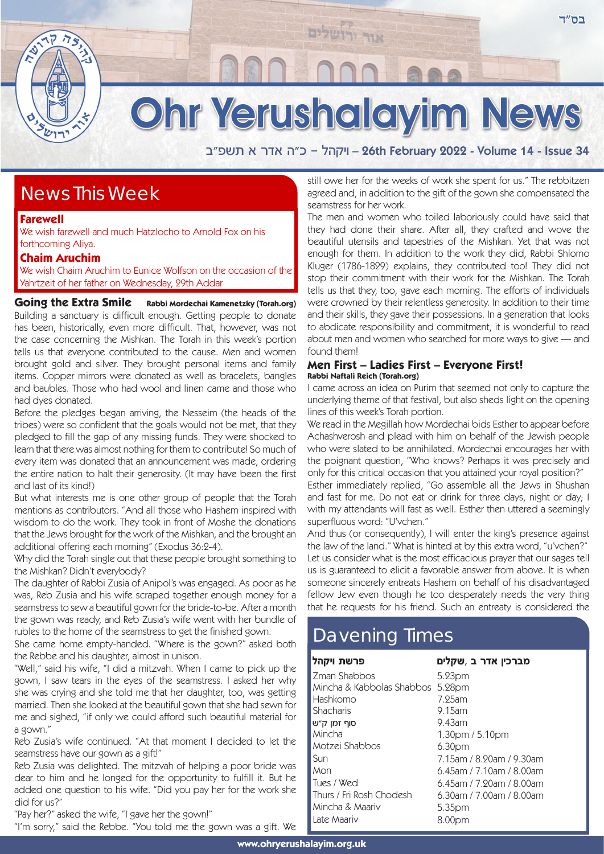

# **Ohr Yerushalayim News**

אור ירושלים

a"tyz ` xc` d"k - ldwie – 26th February 2022 - Volume 14 - Issue 34

### News This Week

**Farewell**

We wish farewell and much Hatzlocho to Arnold Fox on his forthcoming Aliya.

### **Chaim Aruchim**

We wish Chaim Aruchim to Eunice Wolfson on the occasion of the Yahrtzeit of her father on Wednesday, 29th Addar

**Going the Extra Smile** Rabbi Mordechai Kamenetzky (Torah.org) Building a sanctuary is difficult enough. Getting people to donate has been, historically, even more difficult. That, however, was not the case concerning the Mishkan. The Torah in this week's portion tells us that everyone contributed to the cause. Men and women brought gold and silver. They brought personal items and family items. Copper mirrors were donated as well as bracelets, bangles and baubles. Those who had wool and linen came and those who had dyes donated.

Before the pledges began arriving, the Nesseim (the heads of the tribes) were so confident that the goals would not be met, that they pledged to fill the gap of any missing funds. They were shocked to learn that there was almost nothing for them to contribute! So much of every item was donated that an announcement was made, ordering the entire nation to halt their generosity. (It may have been the first and last of its kind!)

But what interests me is one other group of people that the Torah mentions as contributors. "And all those who Hashem inspired with wisdom to do the work. They took in front of Moshe the donations that the Jews brought for the work of the Mishkan, and the brought an additional offering each morning" (Exodus 36:2-4).

Why did the Torah single out that these people brought something to the Mishkan? Didn't everybody?

The daughter of Rabbi Zusia of Anipol's was engaged. As poor as he was, Reb Zusia and his wife scraped together enough money for a seamstress to sew a beautiful gown for the bride-to-be. After a month the gown was ready, and Reb Zusia's wife went with her bundle of rubles to the home of the seamstress to get the finished gown.

She came home empty-handed. "Where is the gown?" asked both the Rebbe and his daughter, almost in unison.

"Well," said his wife, "I did a mitzvah. When I came to pick up the gown, I saw tears in the eyes of the seamstress. I asked her why she was crying and she told me that her daughter, too, was getting married. Then she looked at the beautiful gown that she had sewn for me and sighed, "if only we could afford such beautiful material for a gown."

Reb Zusia's wife continued. "At that moment I decided to let the seamstress have our gown as a gift!"

Reb Zusia was delighted. The mitzvah of helping a poor bride was dear to him and he longed for the opportunity to fulfill it. But he added one question to his wife. "Did you pay her for the work she did for us?"

"Pay her?" asked the wife, "I gave her the gown!"

"I'm sorry," said the Rebbe. "You told me the gown was a gift. We

still owe her for the weeks of work she spent for us." The rebbitzen agreed and, in addition to the gift of the gown she compensated the seamstress for her work.

The men and women who toiled laboriously could have said that they had done their share. After all, they crafted and wove the beautiful utensils and tapestries of the Mishkan. Yet that was not enough for them. In addition to the work they did, Rabbi Shlomo Kluger (1786-1829) explains, they contributed too! They did not stop their commitment with their work for the Mishkan. The Torah tells us that they, too, gave each morning. The efforts of individuals were crowned by their relentless generosity. In addition to their time and their skills, they gave their possessions. In a generation that looks to abdicate responsibility and commitment, it is wonderful to read about men and women who searched for more ways to give — and found them!

### **Men First – Ladies First – Everyone First! Rabbi Naftali Reich (Torah.org)**

I came across an idea on Purim that seemed not only to capture the underlying theme of that festival, but also sheds light on the opening lines of this week's Torah portion.

We read in the Megillah how Mordechai bids Esther to appear before Achashverosh and plead with him on behalf of the Jewish people who were slated to be annihilated. Mordechai encourages her with the poignant question, "Who knows? Perhaps it was precisely and only for this critical occasion that you attained your royal position?"

Esther immediately replied, "Go assemble all the Jews in Shushan and fast for me. Do not eat or drink for three days, night or day; I with my attendants will fast as well. Esther then uttered a seemingly superfluous word: "U'vchen."

And thus (or consequently), I will enter the king's presence against the law of the land." What is hinted at by this extra word, "u'vchen?" Let us consider what is the most efficacious prayer that our sages tell us is guaranteed to elicit a favorable answer from above. It is when someone sincerely entreats Hashem on behalf of his disadvantaged fellow Jew even though he too desperately needs the very thing that he requests for his friend. Such an entreaty is considered the

## Davening Times

| פרשת ויקהל                | מברכין אדר ב ,שקלים                     |
|---------------------------|-----------------------------------------|
| Zman Shabbos              | 5.23pm                                  |
| Mincha & Kabbolas Shabbos | 5.28pm                                  |
| Hashkomo                  | 7.25am                                  |
| Shacharis                 | 9.15am                                  |
| סוף זמן ק״ש               | $9.43$ am                               |
| Mincha                    | 1.30 <sub>pm</sub> / 5.10 <sub>pm</sub> |
| Motzei Shabbos            | 6.30 <sub>pm</sub>                      |
| Sun                       | 7.15am / 8.90am / 9.30am                |
| Mon                       | $6.45$ am / 7.10am / 8.00am             |
| Tues / Wed                | $6.45$ am / 7.90am / 8.00am             |
| Thurs / Fri Rosh Chodesh  | $6.30$ am / 7.00am / 8.00am             |
| Mincha & Maariv           | 5.35pm                                  |
| Late Maariv               | 8.00pm                                  |